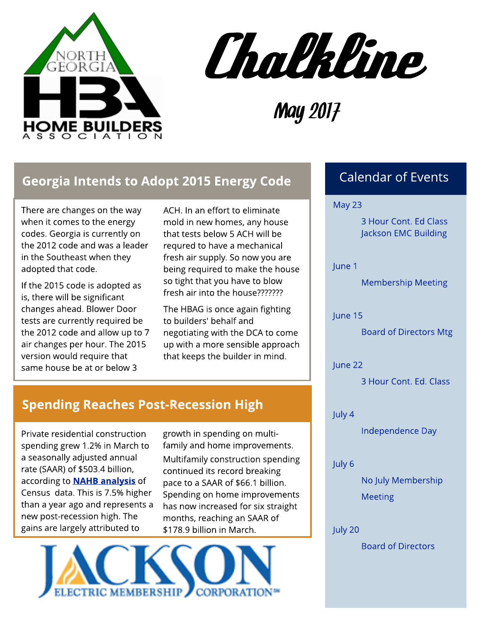



May 2017

#### Georgia Intends to Adopt 2015 Energy Code

There are changes on the way when it comes to the energy codes. Georgia is currently on the 2012 code and was a leader in the Southeast when they adopted that code.

If the 2015 code is adopted as is, there will be significant changes ahead. Blower Door tests are currently required be the 2012 code and allow up to 7 air changes per hour. The 2015 version would require that same house be at or below 3

ACH. In an effort to eliminate mold in new homes, any house that tests below 5 ACH will be requred to have a mechanical fresh air supply. So now you are being required to make the house so tight that you have to blow fresh air into the house???????

The HBAG is once again fighting to builders' behalf and negotiating with the DCA to come up with a more sensible approach that keeps the builder in mind.

#### Spending Reaches Post-Recession High

Private residential construction spending grew 1.2% in March to a seasonally adjusted annual rate (SAAR) of \$503.4 billion, according to **[NAHB](http://eyeonhousing.org/2017/05/private-residential-construction-spending-at-post-recession-high/) [analysis](http://eyeonhousing.org/2017/05/private-residential-construction-spending-at-post-recession-high/)** of Census data. This is 7.5% higher than a year ago and represents a new post-recession high. The gains are largely attributed to

growth in spending on multifamily and home improvements. Multifamily construction spending continued its record breaking pace to a SAAR of \$66.1 billion. Spending on home improvements has now increased for six straight months, reaching an SAAR of \$178.9 billion in March.



#### Calendar of Events

May 23

3 Hour Cont. Ed Class Jackson EMC Building

June 1

Membership Meeting

June 15

Board of Directors Mtg

June 22

3 Hour Cont. Ed. Class

July 4

Independence Day

July 6

No July Membership Meeting

July 20

Board of Directors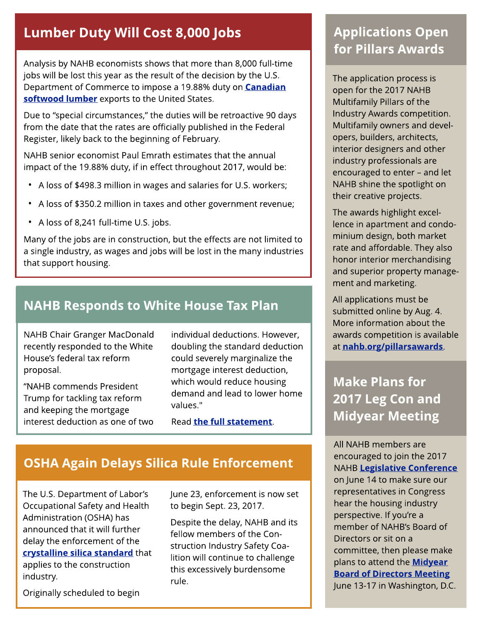#### Lumber Duty Will Cost 8,000 Jobs

Analysis by NAHB economists shows that more than 8,000 full-time jobs will be lost this year as the result of the decision by the U.S. Department of Commerce to impose a 19.88% duty on **[Canadian](http://nahbnow.com/2017/04/what-is-the-impact-of-new-duties-on-canadian-lumber/)** soft[wood](http://nahbnow.com/2017/04/what-is-the-impact-of-new-duties-on-canadian-lumber/) [lum](http://nahbnow.com/2017/04/what-is-the-impact-of-new-duties-on-canadian-lumber/)ber exports to the United States.

Due to "special circumstances," the duties will be retroactive 90 days from the date that the rates are officially published in the Federal Register, likely back to the beginning of February.

NAHB senior economist Paul Emrath estimates that the annual impact of the 19.88% duty, if in effect throughout 2017, would be:

- A loss of \$498.3 million in wages and salaries for U.S. workers;
- A loss of \$350.2 million in taxes and other government revenue;
- A loss of 8,241 full-time U.S. jobs.

Many of the jobs are in construction, but the effects are not limited to a single industry, as wages and jobs will be lost in the many industries that support housing.

### **NAHB Responds to White House Tax Plan**

NAHB Chair Granger MacDonald recently responded to the White House?s federal tax reform proposal.

?NAHB commends President Trump for tackling tax reform and keeping the mortgage interest deduction as one of two

individual deductions. However, doubling the standard deduction could severely marginalize the mortgage interest deduction, which would reduce housing demand and lead to lower home values."

Read t[he](http://nahbnow.com/2017/04/nahb-responds-to-white-house-tax-reform-proposal/) [full](http://nahbnow.com/2017/04/nahb-responds-to-white-house-tax-reform-proposal/) statem[ent](http://nahbnow.com/2017/04/nahb-responds-to-white-house-tax-reform-proposal/).

# **OSHA Again Delays Silica Rule Enforcement**

The U.S. Department of Labor's Occupational Safety and Health Administration (OSHA) has announced that it will further delay the enforcement of the cryst[alline](http://nahbnow.com/2017/04/osha-further-delays-silica-rule-enforcement/) [silica](http://nahbnow.com/2017/04/osha-further-delays-silica-rule-enforcement/) st[andard](http://nahbnow.com/2017/04/osha-further-delays-silica-rule-enforcement/) that applies to the construction industry.

Originally scheduled to begin

June 23, enforcement is now set to begin Sept. 23, 2017.

Despite the delay, NAHB and its fellow members of the Construction Industry Safety Coalition will continue to challenge this excessively burdensome rule.

# **Applications Open** for Pillars Awards

The application process is open for the 2017 NAHB Multifamily Pillars of the Industry Awards competition. Multifamily owners and developers, builders, architects, interior designers and other industry professionals are encouraged to enter - and let NAHB shine the spotlight on their creative projects.

The awards highlight excellence in apartment and condominium design, both market rate and affordable. They also honor interior merchandising and superior property management and marketing.

All applications must be submitted online by Aug. 4. More information about the awards competition is available at [nahb.org/pillarsawards](http://www.nahbclassic.org/showpage_details.aspx?showPageID=13287&_ga=2.90331485.699373182.1493987817-2046826573.1430507085).

## Make Plans for 2017 Leg Con and **Midyear Meeting**

All NAHB members are encouraged to join the 2017 NAHB [Legislat](http://www.nahb.org/en/advocate/2017-nahb-legislative-conference.aspx?_ga=1.33562786.2046826573.1430507085)ive [Conference](http://www.nahb.org/en/advocate/2017-nahb-legislative-conference.aspx?_ga=1.33562786.2046826573.1430507085) on June 14 to make sure our representatives in Congress hear the housing industry perspective. If you're a member of NAHB?s Board of Directors or sit on a committee, then please make plans to attend the **[Midyear](http://www.nahb.org/en/all-events/2017-midyear-board-meeting.aspx) [Board](http://www.nahb.org/en/all-events/2017-midyear-board-meeting.aspx) [of](http://www.nahb.org/en/all-events/2017-midyear-board-meeting.aspx) [Direct](http://www.nahb.org/en/all-events/2017-midyear-board-meeting.aspx)ors [Meet](http://www.nahb.org/en/all-events/2017-midyear-board-meeting.aspx)ing** June 13-17 in Washington, D.C.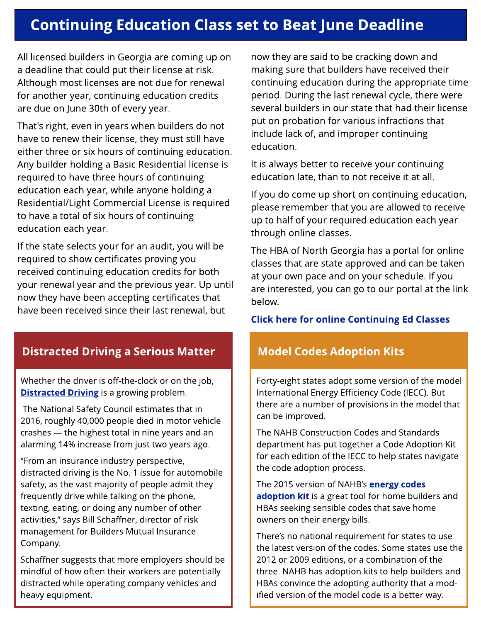# **Continuing Education Class set to Beat June Deadline**

All licensed builders in Georgia are coming up on a deadline that could put their license at risk. Although most licenses are not due for renewal for another year, continuing education credits are due on June 30th of every year.

That's right, even in years when builders do not have to renew their license, they must still have either three or six hours of continuing education. Any builder holding a Basic Residential license is required to have three hours of continuing education each year, while anyone holding a Residential/Light Commercial License is required to have a total of six hours of continuing education each year.

If the state selects your for an audit, you will be required to show certificates proving you received continuing education credits for both your renewal year and the previous year. Up until now they have been accepting certificates that have been received since their last renewal, but

#### Distracted Driving a Serious Matter **Nodel Codes Adoption Kits**

Whether the driver is off-the-clock or on the job, **[Distract](http://nahbnow.com/2017/04/distracted-driving-a-concern-for-everyone-including-builders/)ed [Driving](http://nahbnow.com/2017/04/distracted-driving-a-concern-for-everyone-including-builders/)** is a growing problem.

The National Safety Council estimates that in 2016, roughly 40,000 people died in motor vehicle crashes - the highest total in nine years and an alarming 14% increase from just two years ago.

"From an insurance industry perspective,  $\,$ alstracted driving is the NO. Thissue for adtomob<br>safety, as the vast majority of people admit they distracted driving is the No. 1 issue for automobile frequently drive while talking on the phone, texting, eating, or doing any number of other activities," says Bill Schaffner, director of risk management for Builders Mutual Insurance Company.

Schaffner suggests that more employers should be mindful of how often their workers are potentially distracted while operating company vehicles and heavy equipment.

now they are said to be cracking down and making sure that builders have received their continuing education during the appropriate time period. During the last renewal cycle, there were several builders in our state that had their license put on probation for various infractions that include lack of, and improper continuing education.

It is always better to receive your continuing education late, than to not receive it at all.

If you do come up short on continuing education, please remember that you are allowed to receive up to half of your required education each year through online classes.

The HBA of North Georgia has a portal for online classes that are state approved and can be taken at your own pace and on your schedule. If you are interested, you can go to our portal at the link below.

#### **[Click](https://web.athomeprep.com/HBANorthGeorgia/?ref=LE6VVL) [here](https://web.athomeprep.com/HBANorthGeorgia/?ref=LE6VVL) [for](https://web.athomeprep.com/HBANorthGeorgia/?ref=LE6VVL) [online](https://web.athomeprep.com/HBANorthGeorgia/?ref=LE6VVL) Cont[inuing](https://web.athomeprep.com/HBANorthGeorgia/?ref=LE6VVL) [Ed](https://web.athomeprep.com/HBANorthGeorgia/?ref=LE6VVL) [Classes](https://web.athomeprep.com/HBANorthGeorgia/?ref=LE6VVL)**

Forty-eight states adopt some version of the model International Energy Efficiency Code (IECC). But there are a number of provisions in the model that can be improved.

The NAHB Construction Codes and Standards department has put together a Code Adoption Kit for each edition of the IECC to help states navigate the code adoption process.

The 2015 version of NAHB's **[energy](http://nahbnow.com/2017/04/how-to-modify-the-codes-in-your-state/) [codes](http://nahbnow.com/2017/04/how-to-modify-the-codes-in-your-state/)** [adopt](http://nahbnow.com/2017/04/how-to-modify-the-codes-in-your-state/)ion [kit](http://nahbnow.com/2017/04/how-to-modify-the-codes-in-your-state/) is a great tool for home builders and HBAs seeking sensible codes that save home owners on their energy bills.

There's no national requirement for states to use the latest version of the codes. Some states use the 2012 or 2009 editions, or a combination of the three. NAHB has adoption kits to help builders and HBAs convince the adopting authority that a modified version of the model code is a better way.